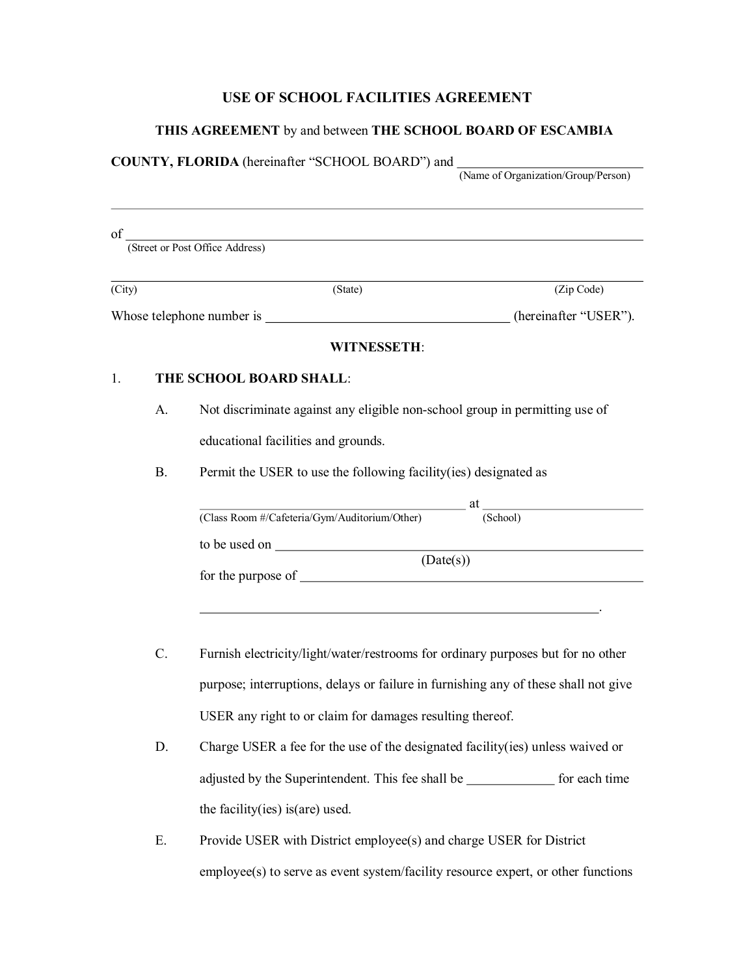### **USE OF SCHOOL FACILITIES AGREEMENT**

#### **THIS AGREEMENT** by and between **THE SCHOOL BOARD OF ESCAMBIA**

#### **COUNTY, FLORIDA** (hereinafter "SCHOOL BOARD") and (Name of Organization/Group/Person)

of

|        |           | of (Street or Post Office Address)                                          |            |
|--------|-----------|-----------------------------------------------------------------------------|------------|
| (City) |           | (State)                                                                     | (Zip Code) |
|        |           |                                                                             |            |
|        |           | <b>WITNESSETH:</b>                                                          |            |
| 1.     |           | THE SCHOOL BOARD SHALL:                                                     |            |
|        | A.        | Not discriminate against any eligible non-school group in permitting use of |            |
|        |           | educational facilities and grounds.                                         |            |
|        | <b>B.</b> | Permit the USER to use the following facility(ies) designated as            |            |
|        |           |                                                                             |            |
|        |           | (Class Room #/Cafeteria/Gym/Auditorium/Other) at (School)                   |            |
|        |           |                                                                             |            |
|        |           | (Date(s))                                                                   |            |

- C. Furnish electricity/light/water/restrooms for ordinary purposes but for no other purpose; interruptions, delays or failure in furnishing any of these shall not give USER any right to or claim for damages resulting thereof.
- D. Charge USER a fee for the use of the designated facility(ies) unless waived or adjusted by the Superintendent. This fee shall be **for each time** for each time the facility(ies) is(are) used.
- E. Provide USER with District employee(s) and charge USER for District employee(s) to serve as event system/facility resource expert, or other functions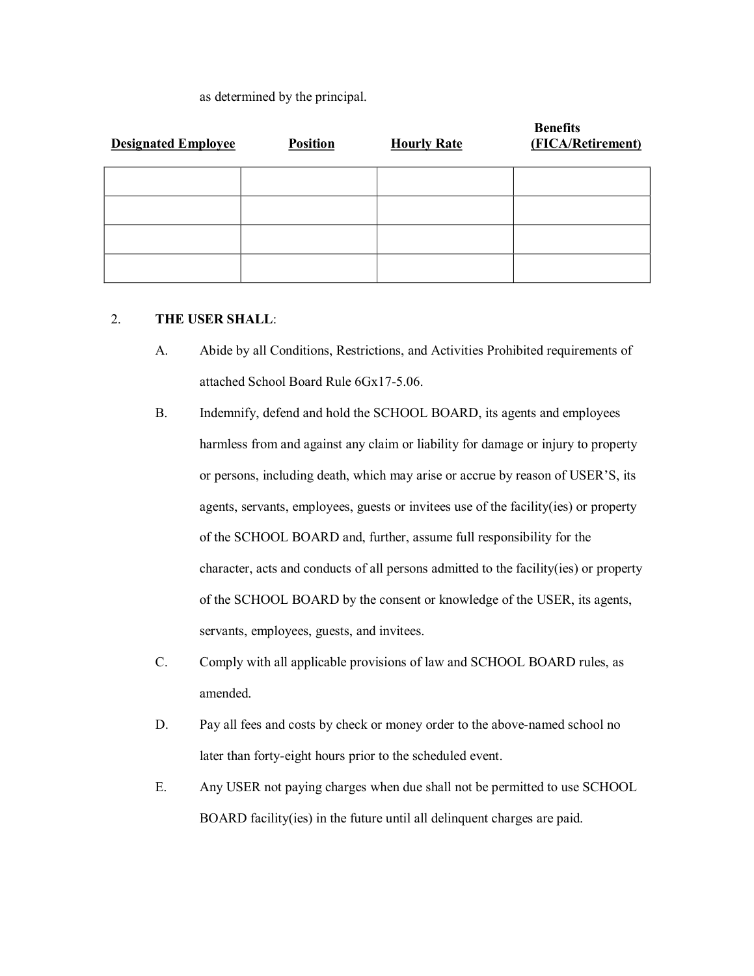#### as determined by the principal.

| <b>Designated Employee</b> | <b>Position</b> | <b>Hourly Rate</b> | <b>Benefits</b><br>(FICA/Retirement) |
|----------------------------|-----------------|--------------------|--------------------------------------|
|                            |                 |                    |                                      |
|                            |                 |                    |                                      |
|                            |                 |                    |                                      |
|                            |                 |                    |                                      |

### 2. **THE USER SHALL**:

- A. Abide by all Conditions, Restrictions, and Activities Prohibited requirements of attached School Board Rule 6Gx17-5.06.
- B. Indemnify, defend and hold the SCHOOL BOARD, its agents and employees harmless from and against any claim or liability for damage or injury to property or persons, including death, which may arise or accrue by reason of USER'S, its agents, servants, employees, guests or invitees use of the facility(ies) or property of the SCHOOL BOARD and, further, assume full responsibility for the character, acts and conducts of all persons admitted to the facility(ies) or property of the SCHOOL BOARD by the consent or knowledge of the USER, its agents, servants, employees, guests, and invitees.
- C. Comply with all applicable provisions of law and SCHOOL BOARD rules, as amended.
- D. Pay all fees and costs by check or money order to the above-named school no later than forty-eight hours prior to the scheduled event.
- E. Any USER not paying charges when due shall not be permitted to use SCHOOL BOARD facility(ies) in the future until all delinquent charges are paid.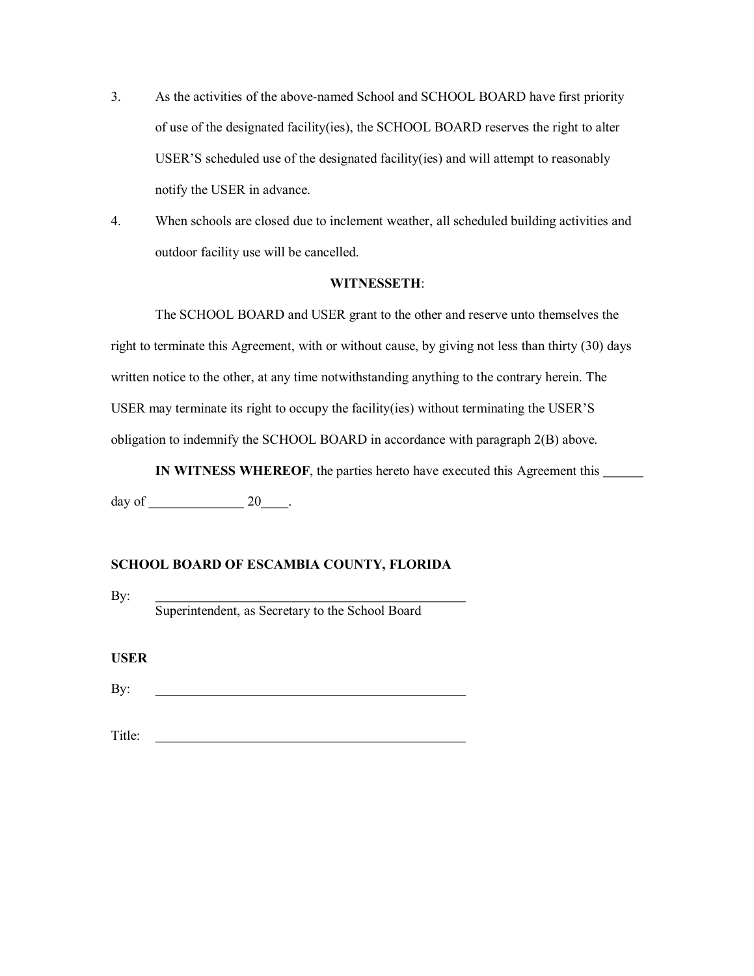- 3. As the activities of the above-named School and SCHOOL BOARD have first priority of use of the designated facility(ies), the SCHOOL BOARD reserves the right to alter USER'S scheduled use of the designated facility(ies) and will attempt to reasonably notify the USER in advance.
- 4. When schools are closed due to inclement weather, all scheduled building activities and outdoor facility use will be cancelled.

#### **WITNESSETH**:

The SCHOOL BOARD and USER grant to the other and reserve unto themselves the right to terminate this Agreement, with or without cause, by giving not less than thirty (30) days written notice to the other, at any time notwithstanding anything to the contrary herein. The USER may terminate its right to occupy the facility(ies) without terminating the USER'S obligation to indemnify the SCHOOL BOARD in accordance with paragraph 2(B) above.

**IN WITNESS WHEREOF**, the parties hereto have executed this Agreement this

 $day of$  20  $.$ 

### **SCHOOL BOARD OF ESCAMBIA COUNTY, FLORIDA**

By:

Superintendent, as Secretary to the School Board

**USER**

By:

Title: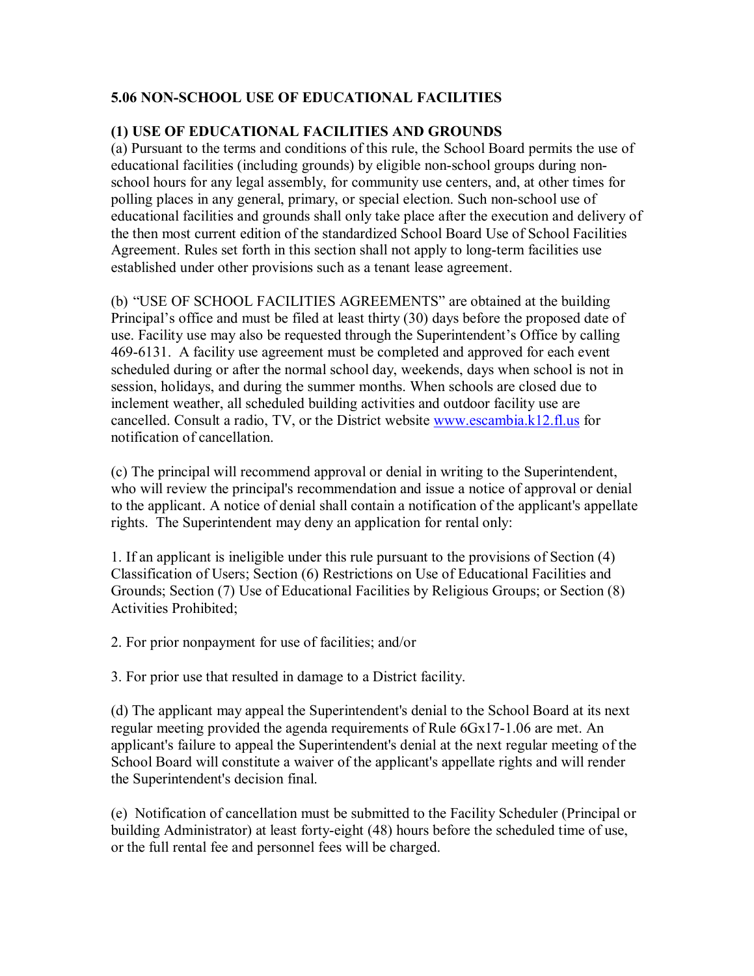# **5.06 NONSCHOOL USE OF EDUCATIONAL FACILITIES**

### **(1) USE OF EDUCATIONAL FACILITIES AND GROUNDS**

(a) Pursuant to the terms and conditions of this rule, the School Board permits the use of educational facilities (including grounds) by eligible non-school groups during nonschool hours for any legal assembly, for community use centers, and, at other times for polling places in any general, primary, or special election. Such non-school use of educational facilities and grounds shall only take place after the execution and delivery of the then most current edition of the standardized School Board Use of School Facilities Agreement. Rules set forth in this section shall not apply to long-term facilities use established under other provisions such as a tenant lease agreement.

(b) "USE OF SCHOOL FACILITIES AGREEMENTS" are obtained at the building Principal's office and must be filed at least thirty (30) days before the proposed date of use. Facility use may also be requested through the Superintendent's Office by calling 469-6131. A facility use agreement must be completed and approved for each event scheduled during or after the normal school day, weekends, days when school is not in session, holidays, and during the summer months. When schools are closed due to inclement weather, all scheduled building activities and outdoor facility use are cancelled. Consult a radio, TV, or the District website [www.escambia.k12.fl.us](http://www.escambia.k12.fl.us/) for notification of cancellation.

(c) The principal will recommend approval or denial in writing to the Superintendent, who will review the principal's recommendation and issue a notice of approval or denial to the applicant. A notice of denial shall contain a notification of the applicant's appellate rights. The Superintendent may deny an application for rental only:

1. If an applicant is ineligible under this rule pursuant to the provisions of Section (4) Classification of Users; Section (6) Restrictions on Use of Educational Facilities and Grounds; Section (7) Use of Educational Facilities by Religious Groups; or Section (8) Activities Prohibited;

2. For prior nonpayment for use of facilities; and/or

3. For prior use that resulted in damage to a District facility.

(d) The applicant may appeal the Superintendent's denial to the School Board at its next regular meeting provided the agenda requirements of Rule  $6Gx17-1.06$  are met. An applicant's failure to appeal the Superintendent's denial at the next regular meeting of the School Board will constitute a waiver of the applicant's appellate rights and will render the Superintendent's decision final.

(e) Notification of cancellation must be submitted to the Facility Scheduler (Principal or building Administrator) at least forty-eight (48) hours before the scheduled time of use, or the full rental fee and personnel fees will be charged.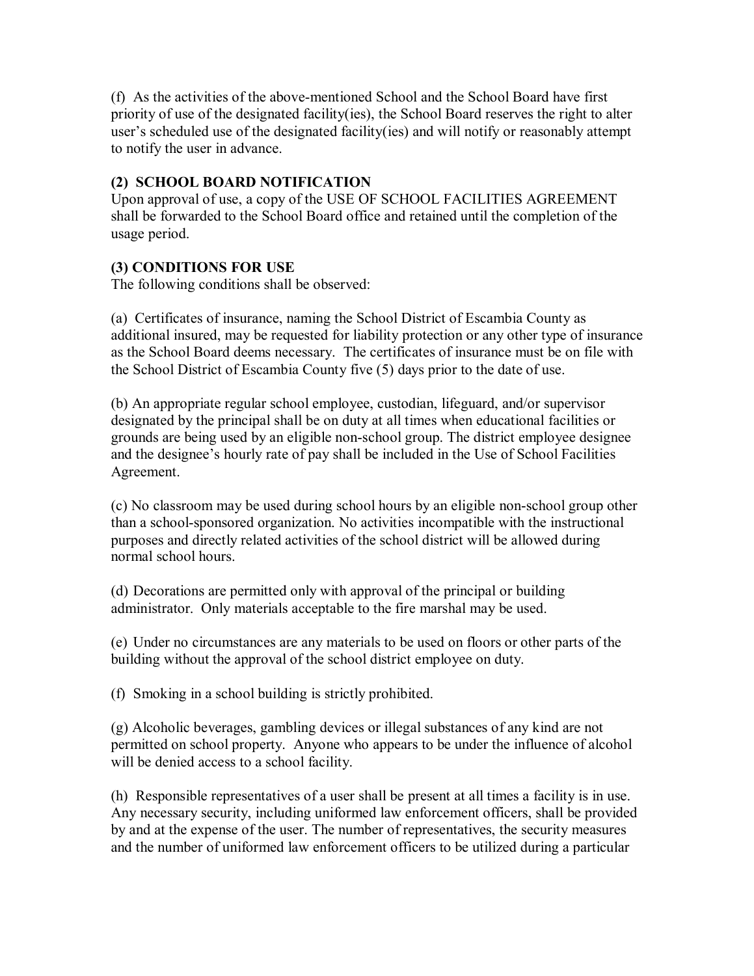(f) As the activities of the abovementioned School and the School Board have first priority of use of the designated facility(ies), the School Board reserves the right to alter user's scheduled use of the designated facility(ies) and will notify or reasonably attempt to notify the user in advance.

# **(2) SCHOOL BOARD NOTIFICATION**

Upon approval of use, a copy of the USE OF SCHOOL FACILITIES AGREEMENT shall be forwarded to the School Board office and retained until the completion of the usage period.

# **(3) CONDITIONS FOR USE**

The following conditions shall be observed:

(a) Certificates of insurance, naming the School District of Escambia County as additional insured, may be requested for liability protection or any other type of insurance as the School Board deems necessary. The certificates of insurance must be on file with the School District of Escambia County five (5) days prior to the date of use.

(b) An appropriate regular school employee, custodian, lifeguard, and/or supervisor designated by the principal shall be on duty at all times when educational facilities or grounds are being used by an eligible non-school group. The district employee designee and the designee's hourly rate of pay shall be included in the Use of School Facilities Agreement.

(c) No classroom may be used during school hours by an eligible nonschool group other than a school-sponsored organization. No activities incompatible with the instructional purposes and directly related activities of the school district will be allowed during normal school hours.

(d) Decorations are permitted only with approval of the principal or building administrator. Only materials acceptable to the fire marshal may be used.

(e) Under no circumstances are any materials to be used on floors or other parts of the building without the approval of the school district employee on duty.

(f) Smoking in a school building is strictly prohibited.

(g) Alcoholic beverages, gambling devices or illegal substances of any kind are not permitted on school property. Anyone who appears to be under the influence of alcohol will be denied access to a school facility.

(h) Responsible representatives of a user shall be present at all times a facility is in use. Any necessary security, including uniformed law enforcement officers, shall be provided by and at the expense of the user. The number of representatives, the security measures and the number of uniformed law enforcement officers to be utilized during a particular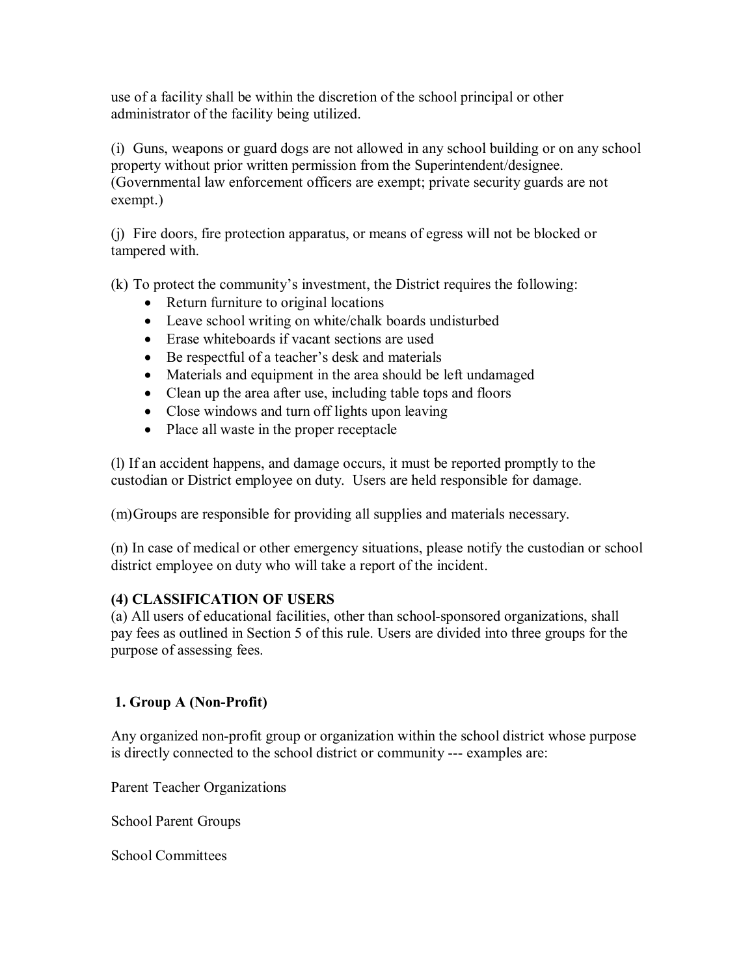use of a facility shall be within the discretion of the school principal or other administrator of the facility being utilized.

(i) Guns, weapons or guard dogs are not allowed in any school building or on any school property without prior written permission from the Superintendent/designee. (Governmental law enforcement officers are exempt; private security guards are not exempt.)

(j) Fire doors, fire protection apparatus, or means of egress will not be blocked or tampered with.

(k) To protect the community's investment, the District requires the following:

- Return furniture to original locations
- Leave school writing on white/chalk boards undisturbed
- Erase whiteboards if vacant sections are used
- Be respectful of a teacher's desk and materials
- Materials and equipment in the area should be left undamaged
- Clean up the area after use, including table tops and floors
- Close windows and turn off lights upon leaving
- Place all waste in the proper receptacle

(l) If an accident happens, and damage occurs, it must be reported promptly to the custodian or District employee on duty. Users are held responsible for damage.

(m)Groups are responsible for providing all supplies and materials necessary.

(n) In case of medical or other emergency situations, please notify the custodian or school district employee on duty who will take a report of the incident.

# **(4) CLASSIFICATION OF USERS**

(a) All users of educational facilities, other than school-sponsored organizations, shall pay fees as outlined in Section 5 of this rule. Users are divided into three groups for the purpose of assessing fees.

# **1. Group A** (Non-Profit)

Any organized non-profit group or organization within the school district whose purpose is directly connected to the school district or community --- examples are:

Parent Teacher Organizations

School Parent Groups

School Committees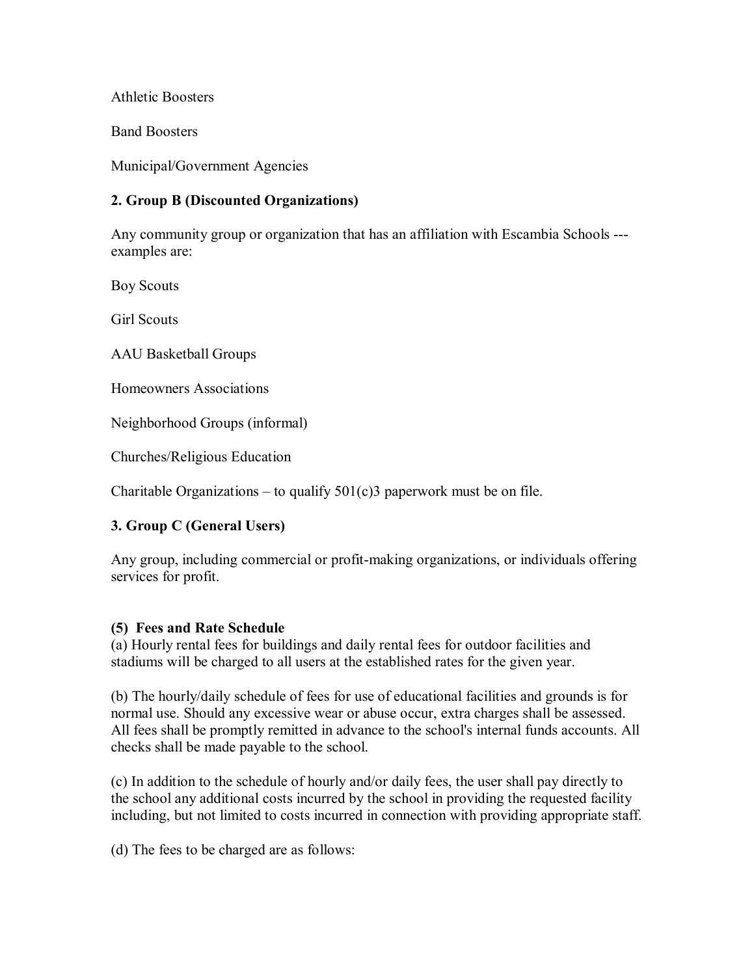Athletic Boosters

Band Boosters

Municipal/Government Agencies

# **2. Group B (Discounted Organizations)**

Any community group or organization that has an affiliation with Escambia Schools examples are:

Boy Scouts

Girl Scouts

AAU Basketball Groups

Homeowners Associations

Neighborhood Groups (informal)

Churches/Religious Education

Charitable Organizations – to qualify  $501(c)3$  paperwork must be on file.

# **3. Group C (General Users)**

Any group, including commercial or profit-making organizations, or individuals offering services for profit.

### **(5) Fees and Rate Schedule**

(a) Hourly rental fees for buildings and daily rental fees for outdoor facilities and stadiums will be charged to all users at the established rates for the given year.

(b) The hourly/daily schedule of fees for use of educational facilities and grounds is for normal use. Should any excessive wear or abuse occur, extra charges shall be assessed. All fees shall be promptly remitted in advance to the school's internal funds accounts. All checks shall be made payable to the school.

(c) In addition to the schedule of hourly and/or daily fees, the user shall pay directly to the school any additional costs incurred by the school in providing the requested facility including, but not limited to costs incurred in connection with providing appropriate staff.

(d) The fees to be charged are as follows: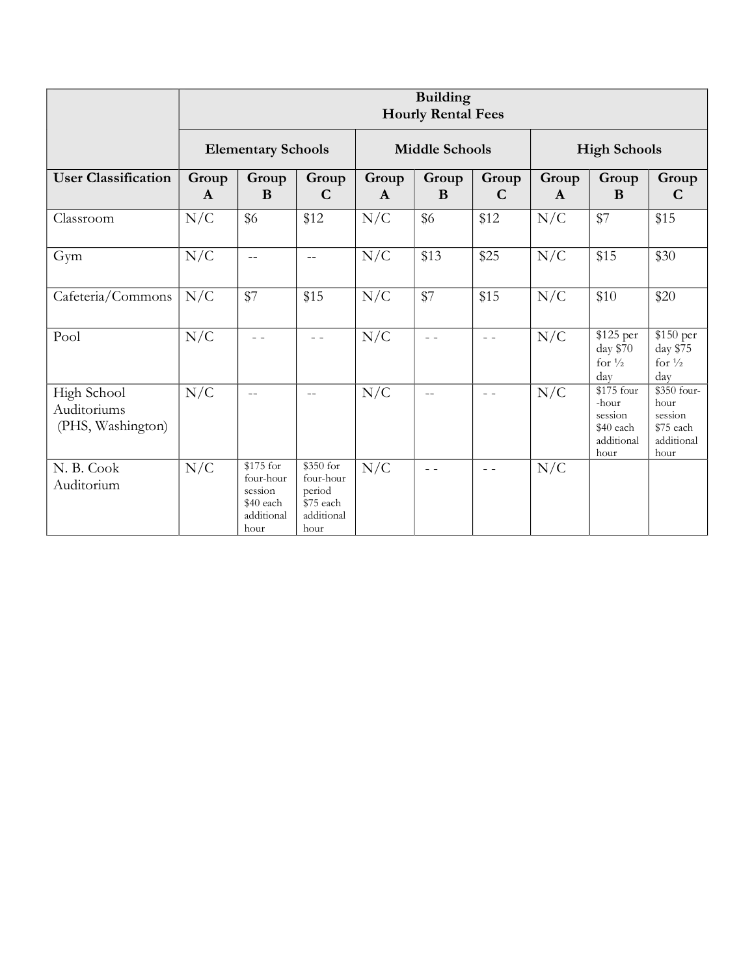|                                                 | <b>Building</b><br><b>Hourly Rental Fees</b> |                                                                      |                                                                     |                       |            |                      |                     |                                                                   |                                                                   |
|-------------------------------------------------|----------------------------------------------|----------------------------------------------------------------------|---------------------------------------------------------------------|-----------------------|------------|----------------------|---------------------|-------------------------------------------------------------------|-------------------------------------------------------------------|
|                                                 | <b>Elementary Schools</b>                    |                                                                      |                                                                     | <b>Middle Schools</b> |            |                      | <b>High Schools</b> |                                                                   |                                                                   |
| <b>User Classification</b>                      | Group<br>$\mathbf{A}$                        | Group<br>B                                                           | Group<br>$\mathbf C$                                                | Group<br>$\mathbf{A}$ | Group<br>B | Group<br>$\mathbf C$ | Group<br>A          | Group<br>B                                                        | Group<br>$\mathbf C$                                              |
| Classroom                                       | N/C                                          | \$6                                                                  | \$12                                                                | N/C                   | \$6        | \$12                 | N/C                 | \$7                                                               | \$15                                                              |
| Gym                                             | N/C                                          | $-$                                                                  | $\equiv$ $\equiv$                                                   | N/C                   | \$13       | \$25                 | N/C                 | \$15                                                              | \$30                                                              |
| Cafeteria/Commons                               | N/C                                          | \$7                                                                  | \$15                                                                | N/C                   | \$7        | \$15                 | N/C                 | \$10                                                              | \$20                                                              |
| Pool                                            | N/C                                          | $=$ $=$                                                              | $\sim$ $\sim$                                                       | N/C                   | $=$ $=$    | $\sim$ $\sim$        | N/C                 | \$125 per<br>day \$70<br>for $\frac{1}{2}$<br>day                 | \$150 per<br>day \$75<br>for $\frac{1}{2}$<br>day                 |
| High School<br>Auditoriums<br>(PHS, Washington) | N/C                                          | $-$                                                                  | $\overline{\phantom{a}}$                                            | N/C                   | $-$        | $ -$                 | N/C                 | \$175 four<br>-hour<br>session<br>\$40 each<br>additional<br>hour | \$350 four-<br>hour<br>session<br>\$75 each<br>additional<br>hour |
| N. B. Cook<br>Auditorium                        | N/C                                          | \$175 for<br>four-hour<br>session<br>\$40 each<br>additional<br>hour | \$350 for<br>four-hour<br>period<br>\$75 each<br>additional<br>hour | N/C                   | $=$ $-$    | $=$ $-$              | N/C                 |                                                                   |                                                                   |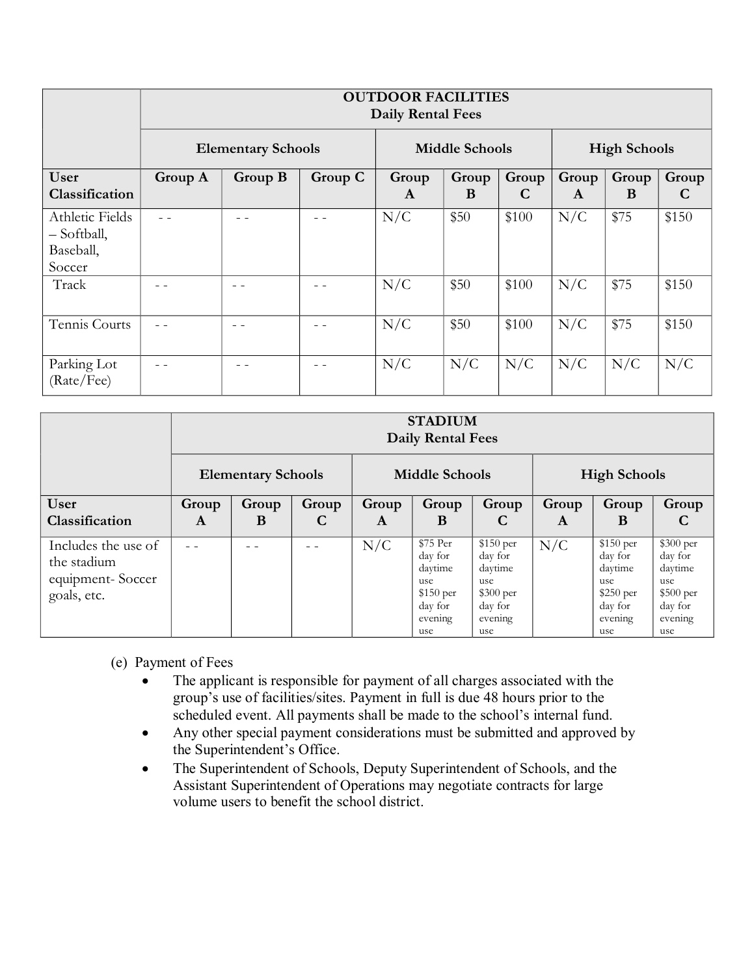|                                                       | <b>OUTDOOR FACILITIES</b><br><b>Daily Rental Fees</b> |            |                       |                      |                       |            |            |      |       |
|-------------------------------------------------------|-------------------------------------------------------|------------|-----------------------|----------------------|-----------------------|------------|------------|------|-------|
|                                                       | <b>Elementary Schools</b>                             |            | <b>Middle Schools</b> |                      | <b>High Schools</b>   |            |            |      |       |
| User<br>Classification                                | Group A                                               | Group<br>A | Group<br>B            | Group<br>$\mathbf C$ | Group<br>$\mathbf{A}$ | Group<br>B | Group<br>C |      |       |
| Athletic Fields<br>- Softball,<br>Baseball,<br>Soccer |                                                       |            |                       | N/C                  | \$50                  | \$100      | N/C        | \$75 | \$150 |
| Track                                                 |                                                       |            |                       | N/C                  | \$50                  | \$100      | N/C        | \$75 | \$150 |
| Tennis Courts                                         |                                                       |            |                       | N/C                  | \$50                  | \$100      | N/C        | \$75 | \$150 |
| Parking Lot<br>(Rate/Fee)                             |                                                       |            |                       | N/C                  | N/C                   | N/C        | N/C        | N/C  | N/C   |

|                                    | <b>STADIUM</b><br><b>Daily Rental Fees</b> |                           |       |       |                                |                                       |       |                                  |                                        |
|------------------------------------|--------------------------------------------|---------------------------|-------|-------|--------------------------------|---------------------------------------|-------|----------------------------------|----------------------------------------|
|                                    |                                            | <b>Elementary Schools</b> |       |       | <b>Middle Schools</b>          |                                       |       | <b>High Schools</b>              |                                        |
| User                               | Group                                      | Group                     | Group | Group | Group                          | Group                                 | Group | Group                            | Group                                  |
| Classification                     | A                                          | B                         | C     | A     | B                              | C                                     | A     | B                                | C                                      |
| Includes the use of<br>the stadium |                                            |                           |       | N/C   | \$75 Per<br>day for<br>daytime | \$150 per<br>day for<br>daytime       | N/C   | $$150$ per<br>day for<br>daytime | \$300 per<br>day for<br>daytime        |
| equipment-Soccer<br>goals, etc.    |                                            |                           |       |       | use<br>$$150$ per<br>day for   | use<br>$$300~\mathrm{per}$<br>day for |       | use<br>$$250$ per<br>day for     | use<br>$$500\,\mathrm{per}$<br>day for |
|                                    |                                            |                           |       |       | evening<br>use                 | evening<br>use                        |       | evening<br>use                   | evening<br>use                         |

- (e) Payment of Fees
	- The applicant is responsible for payment of all charges associated with the group's use of facilities/sites. Payment in full is due 48 hours prior to the scheduled event. All payments shall be made to the school's internal fund.
	- Any other special payment considerations must be submitted and approved by the Superintendent's Office.
	- · The Superintendent of Schools, Deputy Superintendent of Schools, and the Assistant Superintendent of Operations may negotiate contracts for large volume users to benefit the school district.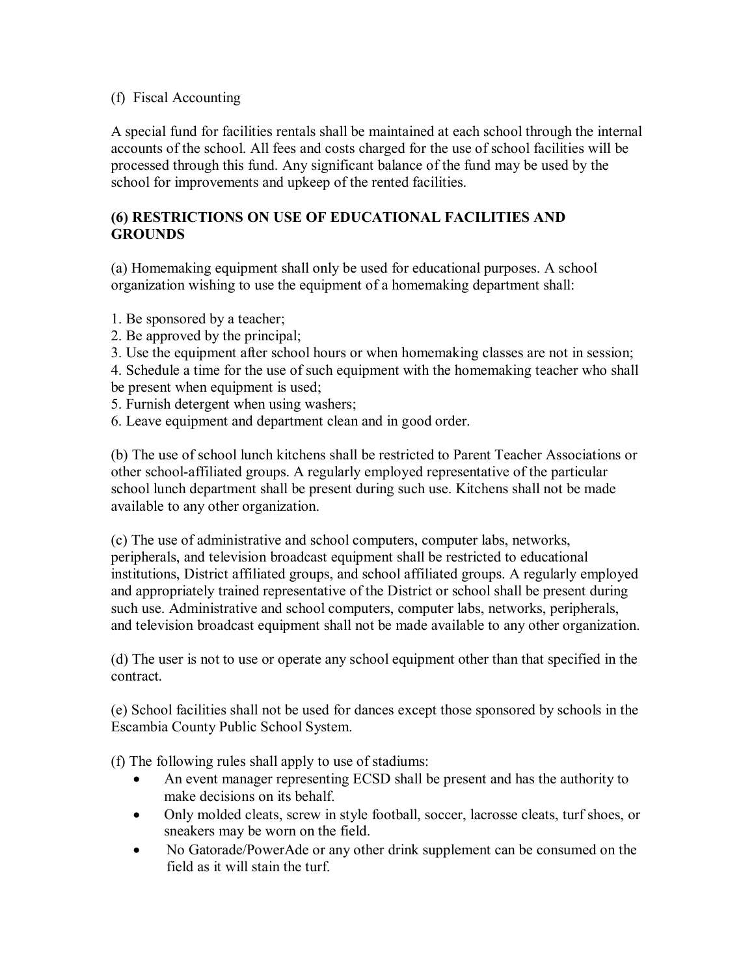# (f) Fiscal Accounting

A special fund for facilities rentals shall be maintained at each school through the internal accounts of the school. All fees and costs charged for the use of school facilities will be processed through this fund. Any significant balance of the fund may be used by the school for improvements and upkeep of the rented facilities.

# **(6) RESTRICTIONS ON USE OF EDUCATIONAL FACILITIES AND GROUNDS**

(a) Homemaking equipment shall only be used for educational purposes. A school organization wishing to use the equipment of a homemaking department shall:

- 1. Be sponsored by a teacher;
- 2. Be approved by the principal;
- 3. Use the equipment after school hours or when homemaking classes are not in session;
- 4. Schedule a time for the use of such equipment with the homemaking teacher who shall be present when equipment is used;
- 5. Furnish detergent when using washers;
- 6. Leave equipment and department clean and in good order.

(b) The use of school lunch kitchens shall be restricted to Parent Teacher Associations or other schoolaffiliated groups. A regularly employed representative of the particular school lunch department shall be present during such use. Kitchens shall not be made available to any other organization.

(c) The use of administrative and school computers, computer labs, networks, peripherals, and television broadcast equipment shall be restricted to educational institutions, District affiliated groups, and school affiliated groups. A regularly employed and appropriately trained representative of the District or school shall be present during such use. Administrative and school computers, computer labs, networks, peripherals, and television broadcast equipment shall not be made available to any other organization.

(d) The user is not to use or operate any school equipment other than that specified in the contract.

(e) School facilities shall not be used for dances except those sponsored by schools in the Escambia County Public School System.

(f) The following rules shall apply to use of stadiums:

- · An event manager representing ECSD shall be present and has the authority to make decisions on its behalf.
- · Only molded cleats, screw in style football, soccer, lacrosse cleats, turf shoes, or sneakers may be worn on the field.
- No Gatorade/PowerAde or any other drink supplement can be consumed on the field as it will stain the turf.